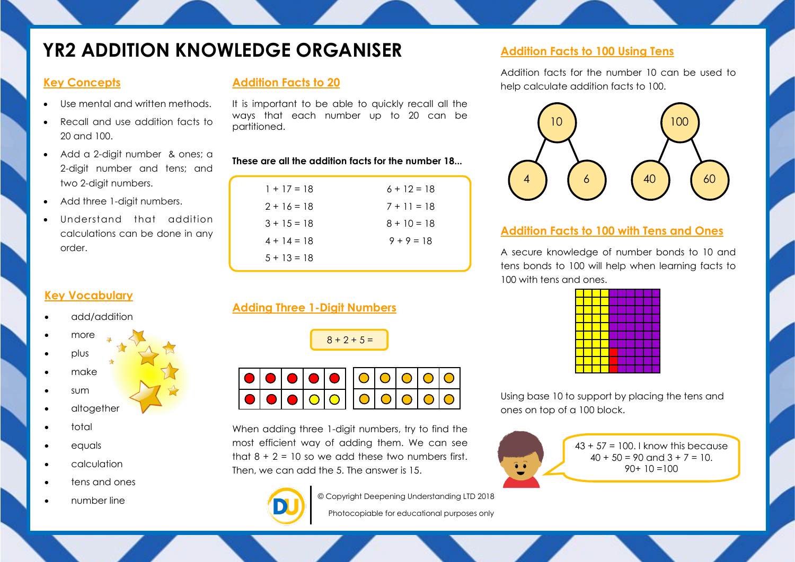# **YR2 ADDITION KNOWLEDGE ORGANISER** Addition Facts to 100 Using Tens

### **Key Concepts**

- Use mental and written methods.
- Recall and use addition facts to 20 and 100.
- Add a 2-digit number & ones; a 2-digit number and tens; and two 2-digit numbers.
- Add three 1-digit numbers.
- Understand that addition calculations can be done in any order.

# **Addition Facts to 20**

It is important to be able to quickly recall all the ways that each number up to 20 can be partitioned.

#### **These are all the addition facts for the number 18...**

| $1 + 17 = 18$  | $6 + 12 = 18$ |
|----------------|---------------|
| $2 + 16 = 18$  | $7 + 11 = 18$ |
| $3 + 15 = 18$  | $8 + 10 = 18$ |
| $4 + 14 = 18$  | $9 + 9 = 18$  |
| $.5 + 13 = 18$ |               |

Addition facts for the number 10 can be used to help calculate addition facts to 100.



#### **Addition Facts to 100 with Tens and Ones**

A secure knowledge of number bonds to 10 and tens bonds to 100 will help when learning facts to 100 with tens and ones.

Using base 10 to support by placing the tens and ones on top of a 100 block.



## **Key Vocabulary**

- add/addition
- more
- plus
- make
- sum
	- altogether
- total
- equals
- calculation
- tens and ones
- number line

| <b>Adding Three 1-Digit Numbers</b> |  |  |
|-------------------------------------|--|--|

| ົ<br>$+$<br>. . |
|-----------------|
|-----------------|



When adding three 1-digit numbers, try to find the most efficient way of adding them. We can see that  $8 + 2 = 10$  so we add these two numbers first. Then, we can add the 5. The answer is 15.



© Copyright Deepening Understanding LTD 2018

Photocopiable for educational purposes only